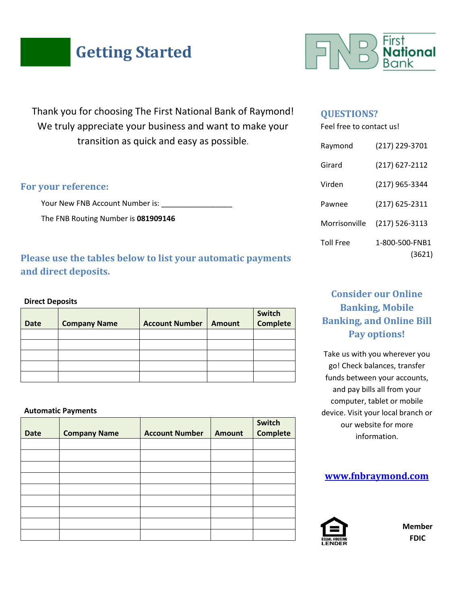# **Getting Started**

Thank you for choosing The First National Bank of Raymond! We truly appreciate your business and want to make your transition as quick and easy as possible.

## **For your reference:**

Your New FNB Account Number is: \_\_\_\_\_\_\_

The FNB Routing Number is **081909146**

# **Please use the tables below to list your automatic payments and direct deposits.**

### **Direct Deposits**

| <b>Date</b> | <b>Company Name</b> | <b>Account Number</b> | Amount | Switch<br><b>Complete</b> |
|-------------|---------------------|-----------------------|--------|---------------------------|
|             |                     |                       |        |                           |
|             |                     |                       |        |                           |
|             |                     |                       |        |                           |
|             |                     |                       |        |                           |
|             |                     |                       |        |                           |

#### **Automatic Payments**

| <b>Date</b> | <b>Company Name</b> | <b>Account Number</b> | <b>Amount</b> | Switch<br><b>Complete</b> |
|-------------|---------------------|-----------------------|---------------|---------------------------|
|             |                     |                       |               |                           |
|             |                     |                       |               |                           |
|             |                     |                       |               |                           |
|             |                     |                       |               |                           |
|             |                     |                       |               |                           |
|             |                     |                       |               |                           |
|             |                     |                       |               |                           |
|             |                     |                       |               |                           |
|             |                     |                       |               |                           |



## **QUESTIONS?**

Feel free to contact us!

| Raymond          | (217) 229-3701           |
|------------------|--------------------------|
| Girard           | (217) 627-2112           |
| Virden           | (217) 965-3344           |
| Pawnee           | (217) 625-2311           |
| Morrisonville    | (217) 526-3113           |
| <b>Toll Free</b> | 1-800-500-FNB1<br>(3621) |

# **Consider our Online Banking, Mobile Banking, and Online Bill Pay options!**

Take us with you wherever you go! Check balances, transfer funds between your accounts, and pay bills all from your computer, tablet or mobile device. Visit your local branch or our website for more information.

## **[www.fnbraymond.com](http://www.fnbraymond.com/)**



**Member FDIC**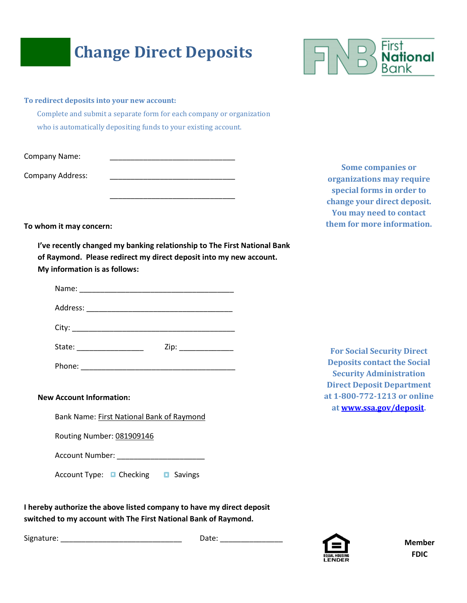# **Change Direct Deposits**



|  |  |  | To redirect deposits into your new account: |
|--|--|--|---------------------------------------------|
|  |  |  |                                             |

Complete and submit a separate form for each company or organization who is automatically depositing funds to your existing account.

Company Name:

Company Address:

**Some companies or organizations may require special forms in order to change your direct deposit. You may need to contact them for more information.** 

**To whom it may concern:** 

**I've recently changed my banking relationship to The First National Bank of Raymond. Please redirect my direct deposit into my new account. My information is as follows:**

\_\_\_\_\_\_\_\_\_\_\_\_\_\_\_\_\_\_\_\_\_\_\_\_\_\_\_\_\_\_

| State: _________________ | Zip: |
|--------------------------|------|
| Phone:                   |      |

**New Account Information:**

Bank Name: First National Bank of Raymond

Routing Number: 081909146

Account Number: \_\_\_\_\_\_\_\_\_\_\_\_\_\_\_\_\_\_\_\_\_

Account Type: Checking D Savings

**For Social Security Direct Deposits contact the Social Security Administration Direct Deposit Department at 1-800-772-1213 or online a[t www.ssa.gov/deposit.](http://www.ssa.gov/deposit)**

**I hereby authorize the above listed company to have my direct deposit switched to my account with The First National Bank of Raymond.** 

Signature: \_\_\_\_\_\_\_\_\_\_\_\_\_\_\_\_\_\_\_\_\_\_\_\_\_\_\_\_\_ Date: \_\_\_\_\_\_\_\_\_\_\_\_\_\_\_



**Member FDIC**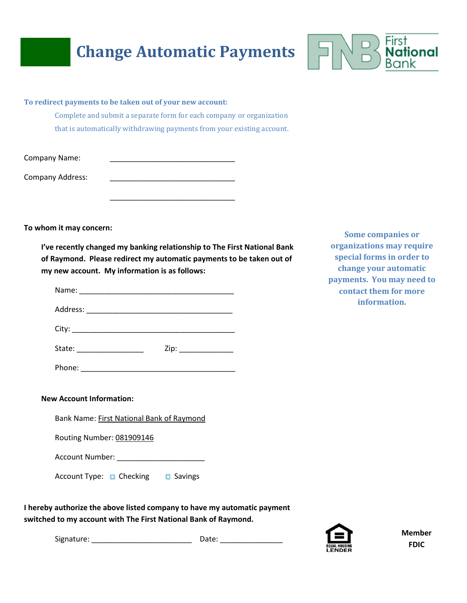# **Change Automatic Payments**



Complete and submit a separate form for each company or organization that is automatically withdrawing payments from your existing account.

\_\_\_\_\_\_\_\_\_\_\_\_\_\_\_\_\_\_\_\_\_\_\_\_\_\_\_\_\_\_

Company Name:

Company Address:

**To whom it may concern:**

**I've recently changed my banking relationship to The First National Bank of Raymond. Please redirect my automatic payments to be taken out of my new account. My information is as follows:** 

| State: __________________                                   | Zip: |
|-------------------------------------------------------------|------|
| Phone:<br><u> 1980 - Jan Barbara Barbara, manazarta da </u> |      |

**Some companies or organizations may require special forms in order to change your automatic payments. You may need to contact them for more information.** 

#### **New Account Information:**

Bank Name: First National Bank of Raymond

Routing Number: 081909146

Account Number: \_\_\_\_\_\_\_\_\_\_\_\_\_\_\_\_\_\_\_\_\_

| Account Type: | $\blacksquare$ Checking | <b>□</b> Savings |
|---------------|-------------------------|------------------|
|               |                         |                  |

**I hereby authorize the above listed company to have my automatic payment switched to my account with The First National Bank of Raymond.** 

Signature: \_\_\_\_\_\_\_\_\_\_\_\_\_\_\_\_\_\_\_\_\_\_\_\_ Date: \_\_\_\_\_\_\_\_\_\_\_\_\_\_\_



**Member FDIC**